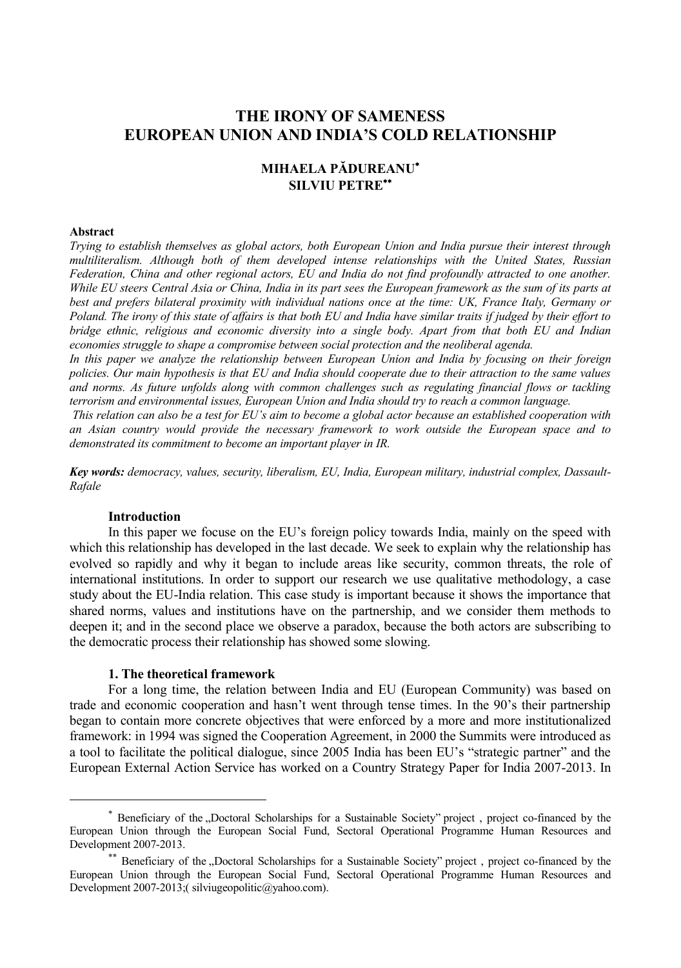# **THE IRONY OF SAMENESS EUROPEAN UNION AND INDIA'S COLD RELATIONSHIP**

# **MIHAELA PĂDUREANU SILVIU PETRE**

#### **Abstract**

*Trying to establish themselves as global actors, both European Union and India pursue their interest through multiliteralism. Although both of them developed intense relationships with the United States, Russian Federation, China and other regional actors, EU and India do not find profoundly attracted to one another. While EU steers Central Asia or China, India in its part sees the European framework as the sum of its parts at best and prefers bilateral proximity with individual nations once at the time: UK, France Italy, Germany or Poland. The irony of this state of affairs is that both EU and India have similar traits if judged by their effort to bridge ethnic, religious and economic diversity into a single body. Apart from that both EU and Indian economies struggle to shape a compromise between social protection and the neoliberal agenda.*

*In this paper we analyze the relationship between European Union and India by focusing on their foreign policies. Our main hypothesis is that EU and India should cooperate due to their attraction to the same values and norms. As future unfolds along with common challenges such as regulating financial flows or tackling terrorism and environmental issues, European Union and India should try to reach a common language.*

*This relation can also be a test for EU's aim to become a global actor because an established cooperation with an Asian country would provide the necessary framework to work outside the European space and to demonstrated its commitment to become an important player in IR.* 

*Key words: democracy, values, security, liberalism, EU, India, European military, industrial complex, Dassault-Rafale*

#### **Introduction**

 $\overline{a}$ 

In this paper we focuse on the EU's foreign policy towards India, mainly on the speed with which this relationship has developed in the last decade. We seek to explain why the relationship has evolved so rapidly and why it began to include areas like security, common threats, the role of international institutions. In order to support our research we use qualitative methodology, a case study about the EU-India relation. This case study is important because it shows the importance that shared norms, values and institutions have on the partnership, and we consider them methods to deepen it; and in the second place we observe a paradox, because the both actors are subscribing to the democratic process their relationship has showed some slowing.

#### **1. The theoretical framework**

For a long time, the relation between India and EU (European Community) was based on trade and economic cooperation and hasn't went through tense times. In the 90's their partnership began to contain more concrete objectives that were enforced by a more and more institutionalized framework: in 1994 was signed the Cooperation Agreement, in 2000 the Summits were introduced as a tool to facilitate the political dialogue, since 2005 India has been EU's "strategic partner" and the European External Action Service has worked on a Country Strategy Paper for India 2007-2013. In

<sup>\*</sup> Beneficiary of the "Doctoral Scholarships for a Sustainable Society" project, project co-financed by the European Union through the European Social Fund, Sectoral Operational Programme Human Resources and Development 2007-2013.

<sup>\*\*</sup> Beneficiary of the "Doctoral Scholarships for a Sustainable Society" project, project co-financed by the European Union through the European Social Fund, Sectoral Operational Programme Human Resources and Development 2007-2013;( silviugeopolitic@yahoo.com).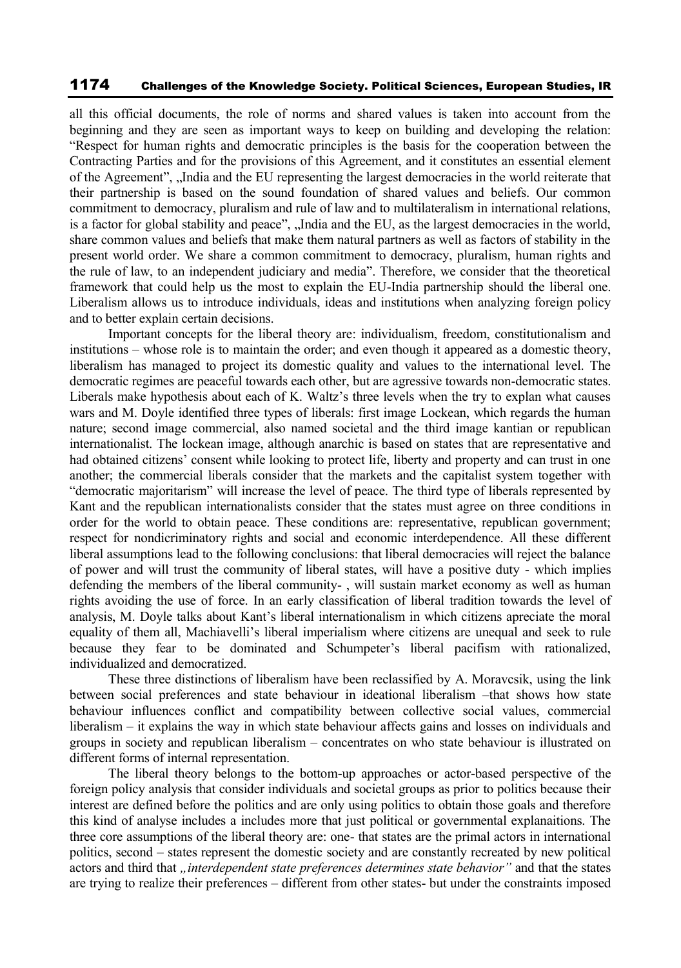all this official documents, the role of norms and shared values is taken into account from the beginning and they are seen as important ways to keep on building and developing the relation: "Respect for human rights and democratic principles is the basis for the cooperation between the Contracting Parties and for the provisions of this Agreement, and it constitutes an essential element of the Agreement", "India and the EU representing the largest democracies in the world reiterate that their partnership is based on the sound foundation of shared values and beliefs. Our common commitment to democracy, pluralism and rule of law and to multilateralism in international relations, is a factor for global stability and peace", "India and the EU, as the largest democracies in the world, share common values and beliefs that make them natural partners as well as factors of stability in the present world order. We share a common commitment to democracy, pluralism, human rights and the rule of law, to an independent judiciary and media". Therefore, we consider that the theoretical framework that could help us the most to explain the EU-India partnership should the liberal one. Liberalism allows us to introduce individuals, ideas and institutions when analyzing foreign policy and to better explain certain decisions.

Important concepts for the liberal theory are: individualism, freedom, constitutionalism and institutions – whose role is to maintain the order; and even though it appeared as a domestic theory, liberalism has managed to project its domestic quality and values to the international level. The democratic regimes are peaceful towards each other, but are agressive towards non-democratic states. Liberals make hypothesis about each of K. Waltz's three levels when the try to explan what causes wars and M. Doyle identified three types of liberals: first image Lockean, which regards the human nature; second image commercial, also named societal and the third image kantian or republican internationalist. The lockean image, although anarchic is based on states that are representative and had obtained citizens' consent while looking to protect life, liberty and property and can trust in one another; the commercial liberals consider that the markets and the capitalist system together with "democratic majoritarism" will increase the level of peace. The third type of liberals represented by Kant and the republican internationalists consider that the states must agree on three conditions in order for the world to obtain peace. These conditions are: representative, republican government; respect for nondicriminatory rights and social and economic interdependence. All these different liberal assumptions lead to the following conclusions: that liberal democracies will reject the balance of power and will trust the community of liberal states, will have a positive duty - which implies defending the members of the liberal community- , will sustain market economy as well as human rights avoiding the use of force. In an early classification of liberal tradition towards the level of analysis, M. Doyle talks about Kant's liberal internationalism in which citizens apreciate the moral equality of them all, Machiavelli's liberal imperialism where citizens are unequal and seek to rule because they fear to be dominated and Schumpeter's liberal pacifism with rationalized, individualized and democratized.

These three distinctions of liberalism have been reclassified by A. Moravcsik, using the link between social preferences and state behaviour in ideational liberalism –that shows how state behaviour influences conflict and compatibility between collective social values, commercial liberalism – it explains the way in which state behaviour affects gains and losses on individuals and groups in society and republican liberalism – concentrates on who state behaviour is illustrated on different forms of internal representation.

The liberal theory belongs to the bottom-up approaches or actor-based perspective of the foreign policy analysis that consider individuals and societal groups as prior to politics because their interest are defined before the politics and are only using politics to obtain those goals and therefore this kind of analyse includes a includes more that just political or governmental explanaitions. The three core assumptions of the liberal theory are: one- that states are the primal actors in international politics, second – states represent the domestic society and are constantly recreated by new political actors and third that *"interdependent state preferences determines state behavior"* and that the states are trying to realize their preferences – different from other states- but under the constraints imposed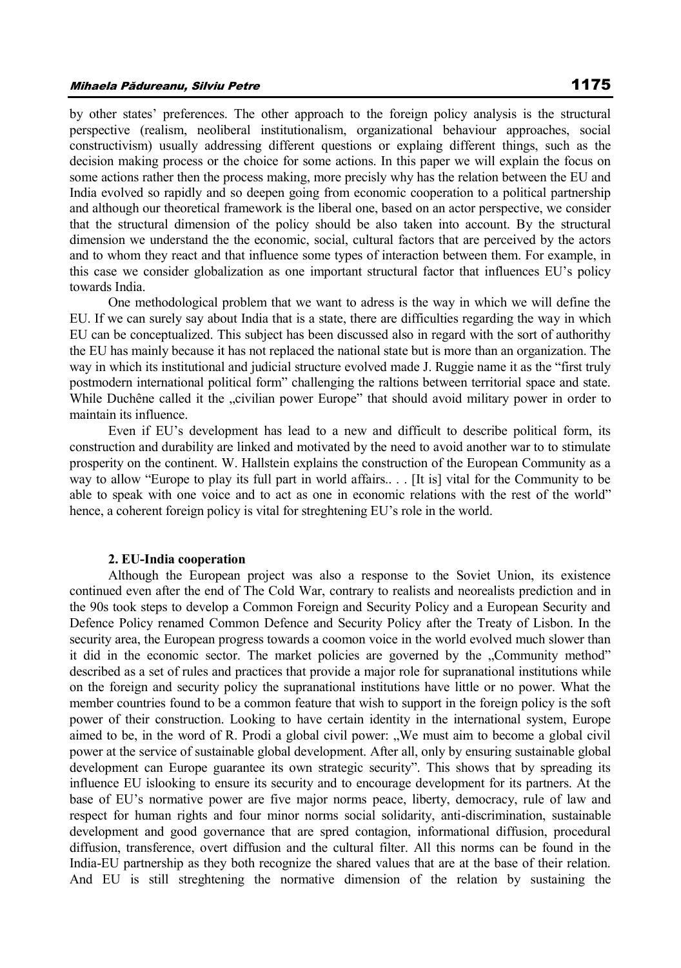by other states' preferences. The other approach to the foreign policy analysis is the structural perspective (realism, neoliberal institutionalism, organizational behaviour approaches, social constructivism) usually addressing different questions or explaing different things, such as the decision making process or the choice for some actions. In this paper we will explain the focus on some actions rather then the process making, more precisly why has the relation between the EU and India evolved so rapidly and so deepen going from economic cooperation to a political partnership and although our theoretical framework is the liberal one, based on an actor perspective, we consider that the structural dimension of the policy should be also taken into account. By the structural dimension we understand the the economic, social, cultural factors that are perceived by the actors and to whom they react and that influence some types of interaction between them. For example, in this case we consider globalization as one important structural factor that influences EU's policy towards India.

One methodological problem that we want to adress is the way in which we will define the EU. If we can surely say about India that is a state, there are difficulties regarding the way in which EU can be conceptualized. This subject has been discussed also in regard with the sort of authorithy the EU has mainly because it has not replaced the national state but is more than an organization. The way in which its institutional and judicial structure evolved made J. Ruggie name it as the "first truly postmodern international political form" challenging the raltions between territorial space and state. While Duchêne called it the "civilian power Europe" that should avoid military power in order to maintain its influence.

Even if EU's development has lead to a new and difficult to describe political form, its construction and durability are linked and motivated by the need to avoid another war to to stimulate prosperity on the continent. W. Hallstein explains the construction of the European Community as a way to allow "Europe to play its full part in world affairs.. . . [It is] vital for the Community to be able to speak with one voice and to act as one in economic relations with the rest of the world" hence, a coherent foreign policy is vital for streghtening EU's role in the world.

#### **2. EU-India cooperation**

Although the European project was also a response to the Soviet Union, its existence continued even after the end of The Cold War, contrary to realists and neorealists prediction and in the 90s took steps to develop a Common Foreign and Security Policy and a European Security and Defence Policy renamed Common Defence and Security Policy after the Treaty of Lisbon. In the security area, the European progress towards a coomon voice in the world evolved much slower than it did in the economic sector. The market policies are governed by the "Community method" described as a set of rules and practices that provide a major role for supranational institutions while on the foreign and security policy the supranational institutions have little or no power. What the member countries found to be a common feature that wish to support in the foreign policy is the soft power of their construction. Looking to have certain identity in the international system, Europe aimed to be, in the word of R. Prodi a global civil power: "We must aim to become a global civil power at the service of sustainable global development. After all, only by ensuring sustainable global development can Europe guarantee its own strategic security". This shows that by spreading its influence EU islooking to ensure its security and to encourage development for its partners. At the base of EU's normative power are five major norms peace, liberty, democracy, rule of law and respect for human rights and four minor norms social solidarity, anti-discrimination, sustainable development and good governance that are spred contagion, informational diffusion, procedural diffusion, transference, overt diffusion and the cultural filter. All this norms can be found in the India-EU partnership as they both recognize the shared values that are at the base of their relation. And EU is still streghtening the normative dimension of the relation by sustaining the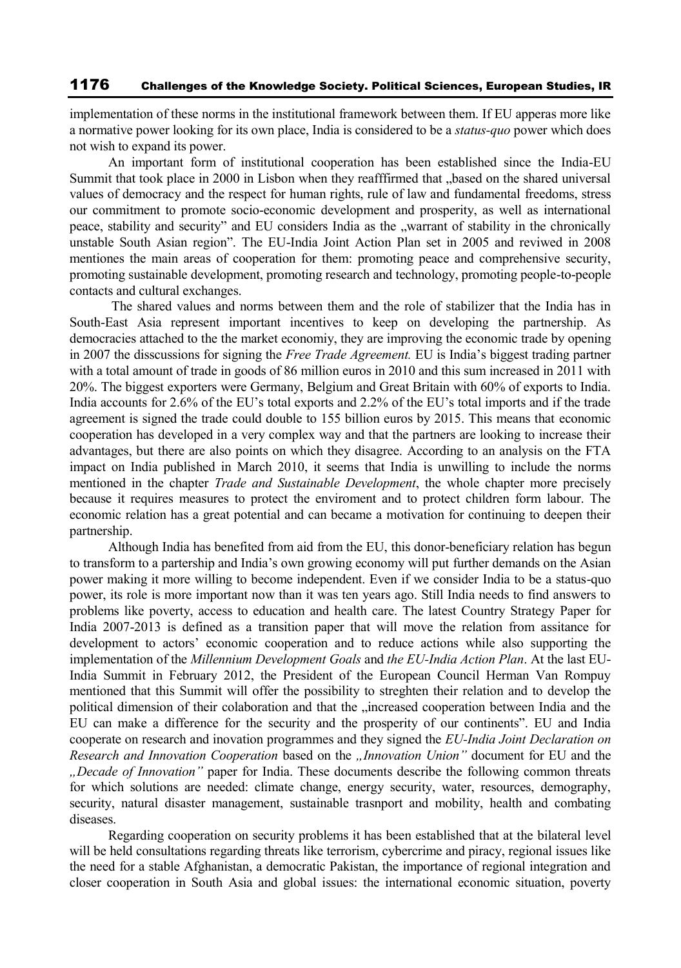implementation of these norms in the institutional framework between them. If EU apperas more like a normative power looking for its own place, India is considered to be a *status-quo* power which does not wish to expand its power.

An important form of institutional cooperation has been established since the India-EU Summit that took place in 2000 in Lisbon when they reafffirmed that "based on the shared universal values of democracy and the respect for human rights, rule of law and fundamental freedoms, stress our commitment to promote socio-economic development and prosperity, as well as international peace, stability and security" and EU considers India as the "warrant of stability in the chronically unstable South Asian region". The EU-India Joint Action Plan set in 2005 and reviwed in 2008 mentiones the main areas of cooperation for them: promoting peace and comprehensive security, promoting sustainable development, promoting research and technology, promoting people-to-people contacts and cultural exchanges.

The shared values and norms between them and the role of stabilizer that the India has in South-East Asia represent important incentives to keep on developing the partnership. As democracies attached to the the market economiy, they are improving the economic trade by opening in 2007 the disscussions for signing the *Free Trade Agreement.* EU is India's biggest trading partner with a total amount of trade in goods of 86 million euros in 2010 and this sum increased in 2011 with 20%. The biggest exporters were Germany, Belgium and Great Britain with 60% of exports to India. India accounts for 2.6% of the EU's total exports and 2.2% of the EU's total imports and if the trade agreement is signed the trade could double to 155 billion euros by 2015. This means that economic cooperation has developed in a very complex way and that the partners are looking to increase their advantages, but there are also points on which they disagree. According to an analysis on the FTA impact on India published in March 2010, it seems that India is unwilling to include the norms mentioned in the chapter *Trade and Sustainable Development*, the whole chapter more precisely because it requires measures to protect the enviroment and to protect children form labour. The economic relation has a great potential and can became a motivation for continuing to deepen their partnership.

Although India has benefited from aid from the EU, this donor-beneficiary relation has begun to transform to a partership and India's own growing economy will put further demands on the Asian power making it more willing to become independent. Even if we consider India to be a status-quo power, its role is more important now than it was ten years ago. Still India needs to find answers to problems like poverty, access to education and health care. The latest Country Strategy Paper for India 2007-2013 is defined as a transition paper that will move the relation from assitance for development to actors' economic cooperation and to reduce actions while also supporting the implementation of the *Millennium Development Goals* and *the EU-India Action Plan*. At the last EU-India Summit in February 2012, the President of the European Council Herman Van Rompuy mentioned that this Summit will offer the possibility to streghten their relation and to develop the political dimension of their colaboration and that the "increased cooperation between India and the EU can make a difference for the security and the prosperity of our continents". EU and India cooperate on research and inovation programmes and they signed the *EU-India Joint Declaration on Research and Innovation Cooperation* based on the *"Innovation Union"* document for EU and the *"Decade of Innovation"* paper for India. These documents describe the following common threats for which solutions are needed: climate change, energy security, water, resources, demography, security, natural disaster management, sustainable trasnport and mobility, health and combating diseases.

Regarding cooperation on security problems it has been established that at the bilateral level will be held consultations regarding threats like terrorism, cybercrime and piracy, regional issues like the need for a stable Afghanistan, a democratic Pakistan, the importance of regional integration and closer cooperation in South Asia and global issues: the international economic situation, poverty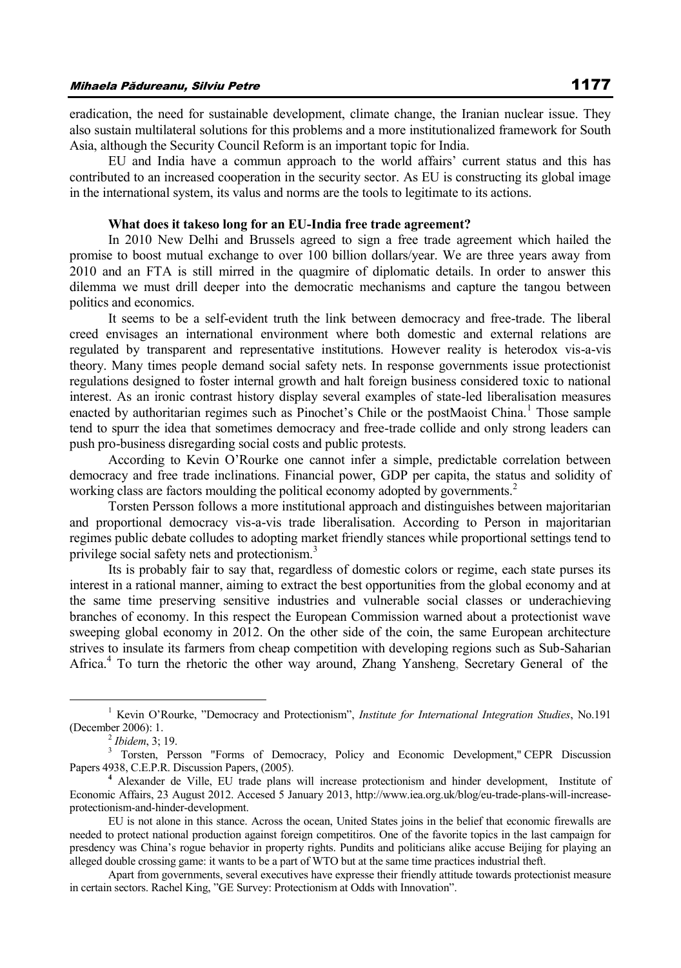eradication, the need for sustainable development, climate change, the Iranian nuclear issue. They also sustain multilateral solutions for this problems and a more institutionalized framework for South Asia, although the Security Council Reform is an important topic for India.

EU and India have a commun approach to the world affairs' current status and this has contributed to an increased cooperation in the security sector. As EU is constructing its global image in the international system, its valus and norms are the tools to legitimate to its actions.

#### **What does it takeso long for an EU-India free trade agreement?**

In 2010 New Delhi and Brussels agreed to sign a free trade agreement which hailed the promise to boost mutual exchange to over 100 billion dollars/year. We are three years away from 2010 and an FTA is still mirred in the quagmire of diplomatic details. In order to answer this dilemma we must drill deeper into the democratic mechanisms and capture the tangou between politics and economics.

It seems to be a self-evident truth the link between democracy and free-trade. The liberal creed envisages an international environment where both domestic and external relations are regulated by transparent and representative institutions. However reality is heterodox vis-a-vis theory. Many times people demand social safety nets. In response governments issue protectionist regulations designed to foster internal growth and halt foreign business considered toxic to national interest. As an ironic contrast history display several examples of state-led liberalisation measures enacted by authoritarian regimes such as Pinochet's Chile or the postMaoist China.<sup>1</sup> Those sample tend to spurr the idea that sometimes democracy and free-trade collide and only strong leaders can push pro-business disregarding social costs and public protests.

According to Kevin O'Rourke one cannot infer a simple, predictable correlation between democracy and free trade inclinations. Financial power, GDP per capita, the status and solidity of working class are factors moulding the political economy adopted by governments.<sup>2</sup>

Torsten Persson follows a more institutional approach and distinguishes between majoritarian and proportional democracy vis-a-vis trade liberalisation. According to Person in majoritarian regimes public debate colludes to adopting market friendly stances while proportional settings tend to privilege social safety nets and protectionism.<sup>3</sup>

Its is probably fair to say that, regardless of domestic colors or regime, each state purses its interest in a rational manner, aiming to extract the best opportunities from the global economy and at the same time preserving sensitive industries and vulnerable social classes or underachieving branches of economy. In this respect the European Commission warned about a protectionist wave sweeping global economy in 2012. On the other side of the coin, the same European architecture strives to insulate its farmers from cheap competition with developing regions such as Sub-Saharian Africa.<sup>4</sup> To turn the rhetoric the other way around, Zhang Yansheng, Secretary General of the

<sup>1</sup> Kevin O'Rourke, "Democracy and Protectionism", *Institute for International Integration Studies*, No.191 (December 2006): 1.

<sup>2</sup> *Ibidem*, 3; 19.

<sup>3</sup> Torsten, Persson "Forms of Democracy, Policy and Economic Development," CEPR Discussion Papers 4938, C.E.P.R. Discussion Papers, (2005).

**<sup>4</sup>** Alexander de Ville, EU trade plans will increase protectionism and hinder development, Institute of Economic Affairs, 23 August 2012. Accesed 5 January 2013, http://www.iea.org.uk/blog/eu-trade-plans-will-increaseprotectionism-and-hinder-development.

EU is not alone in this stance. Across the ocean, United States joins in the belief that economic firewalls are needed to protect national production against foreign competitiros. One of the favorite topics in the last campaign for presdency was China's rogue behavior in property rights. Pundits and politicians alike accuse Beijing for playing an alleged double crossing game: it wants to be a part of WTO but at the same time practices industrial theft.

Apart from governments, several executives have expresse their friendly attitude towards protectionist measure in certain sectors. Rachel King, "GE Survey: Protectionism at Odds with Innovation".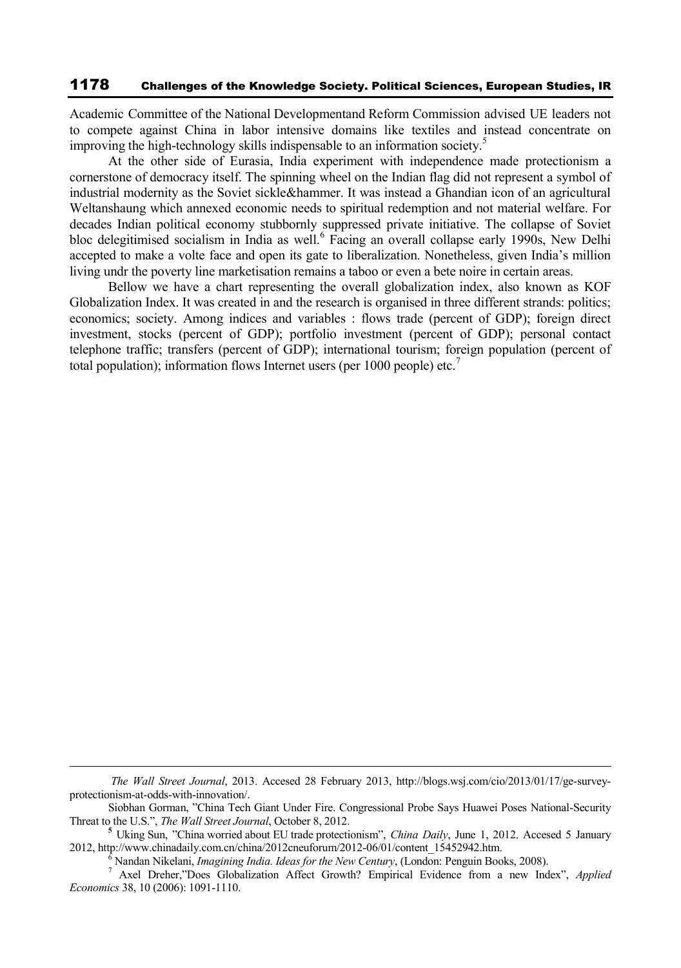Academic Committee of the National Developmentand Reform Commission advised UE leaders not to compete against China in labor intensive domains like textiles and instead concentrate on improving the high-technology skills indispensable to an information society.<sup>5</sup>

At the other side of Eurasia, India experiment with independence made protectionism a cornerstone of democracy itself. The spinning wheel on the Indian flag did not represent a symbol of industrial modernity as the Soviet sickle&hammer. It was instead a Ghandian icon of an agricultural Weltanshaung which annexed economic needs to spiritual redemption and not material welfare. For decades Indian political economy stubbornly suppressed private initiative. The collapse of Soviet bloc delegitimised socialism in India as well.<sup>6</sup> Facing an overall collapse early 1990s, New Delhi accepted to make a volte face and open its gate to liberalization. Nonetheless, given India's million living undr the poverty line marketisation remains a taboo or even a bete noire in certain areas.

Bellow we have a chart representing the overall globalization index, also known as KOF Globalization Index. It was created in and the research is organised in three different strands: politics; economics; society. Among indices and variables : flows trade (percent of GDP); foreign direct investment, stocks (percent of GDP); portfolio investment (percent of GDP); personal contact telephone traffic; transfers (percent of GDP); international tourism; foreign population (percent of total population); information flows Internet users (per 1000 people) etc.<sup>7</sup>

*The Wall Street Journal*, 2013. Accesed 28 February 2013, http://blogs.wsj.com/cio/2013/01/17/ge-surveyprotectionism-at-odds-with-innovation/.

Siobhan Gorman, "China Tech Giant Under Fire. Congressional Probe Says Huawei Poses National-Security Threat to the U.S.", *The Wall Street Journal*, October 8, 2012.

**<sup>5</sup>** Uking Sun, "China worried about EU trade protectionism", *China Daily*, June 1, 2012. Accesed 5 January 2012, http://www.chinadaily.com.cn/china/2012cneuforum/2012-06/01/content\_15452942.htm.

<sup>6</sup> Nandan Nikelani, *Imagining India. Ideas for the New Century*, (London: Penguin Books, 2008).

<sup>7</sup> Axel Dreher,"Does Globalization Affect Growth? Empirical Evidence from a new Index", *Applied Economics* 38, 10 (2006): 1091-1110.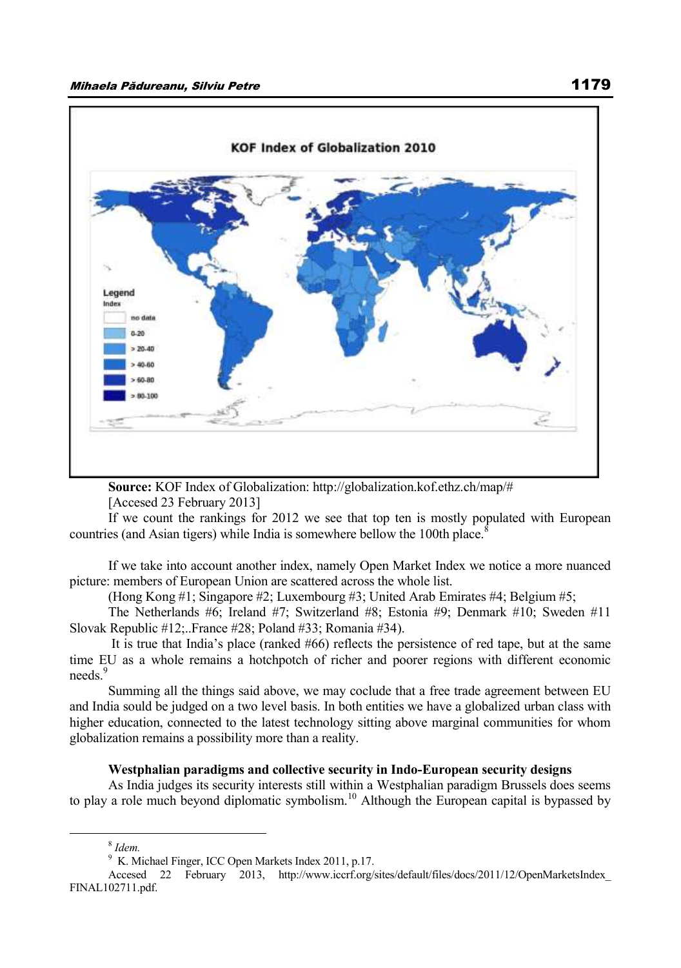

**Source:** KOF Index of Globalization: http://globalization.kof.ethz.ch/map/#

[Accesed 23 February 2013]

If we count the rankings for 2012 we see that top ten is mostly populated with European countries (and Asian tigers) while India is somewhere bellow the 100th place.<sup>8</sup>

If we take into account another index, namely Open Market Index we notice a more nuanced picture: members of European Union are scattered across the whole list.

(Hong Kong #1; Singapore #2; Luxembourg #3; United Arab Emirates #4; Belgium #5;

The Netherlands #6; Ireland #7; Switzerland #8; Estonia #9; Denmark #10; Sweden #11 Slovak Republic #12;..France #28; Poland #33; Romania #34).

It is true that India's place (ranked #66) reflects the persistence of red tape, but at the same time EU as a whole remains a hotchpotch of richer and poorer regions with different economic needs<sup>9</sup>

Summing all the things said above, we may coclude that a free trade agreement between EU and India sould be judged on a two level basis. In both entities we have a globalized urban class with higher education, connected to the latest technology sitting above marginal communities for whom globalization remains a possibility more than a reality.

#### **Westphalian paradigms and collective security in Indo-European security designs**

As India judges its security interests still within a Westphalian paradigm Brussels does seems to play a role much beyond diplomatic symbolism.<sup>10</sup> Although the European capital is bypassed by

<sup>8</sup> *Idem.*

<sup>9</sup> K. Michael Finger, ICC Open Markets Index 2011, p.17.

Accesed 22 February 2013, http://www.iccrf.org/sites/default/files/docs/2011/12/OpenMarketsIndex\_ FINAL102711.pdf.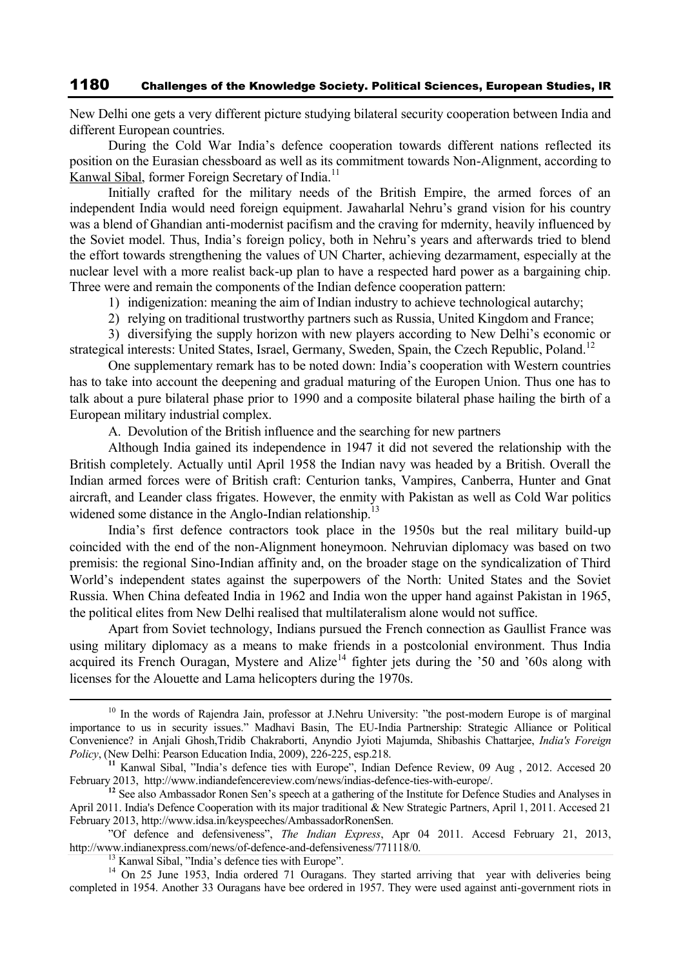New Delhi one gets a very different picture studying bilateral security cooperation between India and different European countries.

During the Cold War India's defence cooperation towards different nations reflected its position on the Eurasian chessboard as well as its commitment towards Non-Alignment, according to Kanwal Sibal, former Foreign Secretary of India.<sup>11</sup>

Initially crafted for the military needs of the British Empire, the armed forces of an independent India would need foreign equipment. Jawaharlal Nehru's grand vision for his country was a blend of Ghandian anti-modernist pacifism and the craving for mdernity, heavily influenced by the Soviet model. Thus, India's foreign policy, both in Nehru's years and afterwards tried to blend the effort towards strengthening the values of UN Charter, achieving dezarmament, especially at the nuclear level with a more realist back-up plan to have a respected hard power as a bargaining chip. Three were and remain the components of the Indian defence cooperation pattern:

- 1) indigenization: meaning the aim of Indian industry to achieve technological autarchy;
- 2) relying on traditional trustworthy partners such as Russia, United Kingdom and France;

3) diversifying the supply horizon with new players according to New Delhi's economic or strategical interests: United States, Israel, Germany, Sweden, Spain, the Czech Republic, Poland.<sup>12</sup>

One supplementary remark has to be noted down: India's cooperation with Western countries has to take into account the deepening and gradual maturing of the Europen Union. Thus one has to talk about a pure bilateral phase prior to 1990 and a composite bilateral phase hailing the birth of a European military industrial complex.

A. Devolution of the British influence and the searching for new partners

Although India gained its independence in 1947 it did not severed the relationship with the British completely. Actually until April 1958 the Indian navy was headed by a British. Overall the Indian armed forces were of British craft: Centurion tanks, Vampires, Canberra, Hunter and Gnat aircraft, and Leander class frigates. However, the enmity with Pakistan as well as Cold War politics widened some distance in the Anglo-Indian relationship.<sup>13</sup>

India's first defence contractors took place in the 1950s but the real military build-up coincided with the end of the non-Alignment honeymoon. Nehruvian diplomacy was based on two premisis: the regional Sino-Indian affinity and, on the broader stage on the syndicalization of Third World's independent states against the superpowers of the North: United States and the Soviet Russia. When China defeated India in 1962 and India won the upper hand against Pakistan in 1965, the political elites from New Delhi realised that multilateralism alone would not suffice.

Apart from Soviet technology, Indians pursued the French connection as Gaullist France was using military diplomacy as a means to make friends in a postcolonial environment. Thus India acquired its French Ouragan, Mystere and Alize<sup>14</sup> fighter jets during the '50 and '60s along with licenses for the Alouette and Lama helicopters during the 1970s.

<sup>&</sup>lt;sup>10</sup> In the words of Rajendra Jain, professor at J.Nehru University: "the post-modern Europe is of marginal importance to us in security issues." Madhavi Basin, The EU-India Partnership: Strategic Alliance or Political Convenience? in Anjali Ghosh,Tridib Chakraborti, Anyndio Jyioti Majumda, Shibashis Chattarjee, *India's Foreign Policy*, (New Delhi: Pearson Education India, 2009), 226-225, esp.218.

**<sup>11</sup>** Kanwal Sibal, "India's defence ties with Europe", Indian Defence Review, 09 Aug , 2012. Accesed 20 February 2013, http://www.indiandefencereview.com/news/indias-defence-ties-with-europe/.

<sup>&</sup>lt;sup>12</sup> See also Ambassador Ronen Sen's speech at a gathering of the Institute for Defence Studies and Analyses in April 2011. India's Defence Cooperation with its major traditional & New Strategic Partners, April 1, 2011. Accesed 21 February 2013, http://www.idsa.in/keyspeeches/AmbassadorRonenSen.

<sup>&</sup>quot;Of defence and defensiveness", *The Indian Express*, Apr 04 2011. Accesd February 21, 2013, http://www.indianexpress.com/news/of-defence-and-defensiveness/771118/0.

<sup>&</sup>lt;sup>13</sup> Kanwal Sibal, "India's defence ties with Europe".

<sup>&</sup>lt;sup>14</sup> On 25 June 1953, India ordered 71 Ouragans. They started arriving that year with deliveries being completed in 1954. Another 33 Ouragans have bee ordered in 1957. They were used against anti-government riots in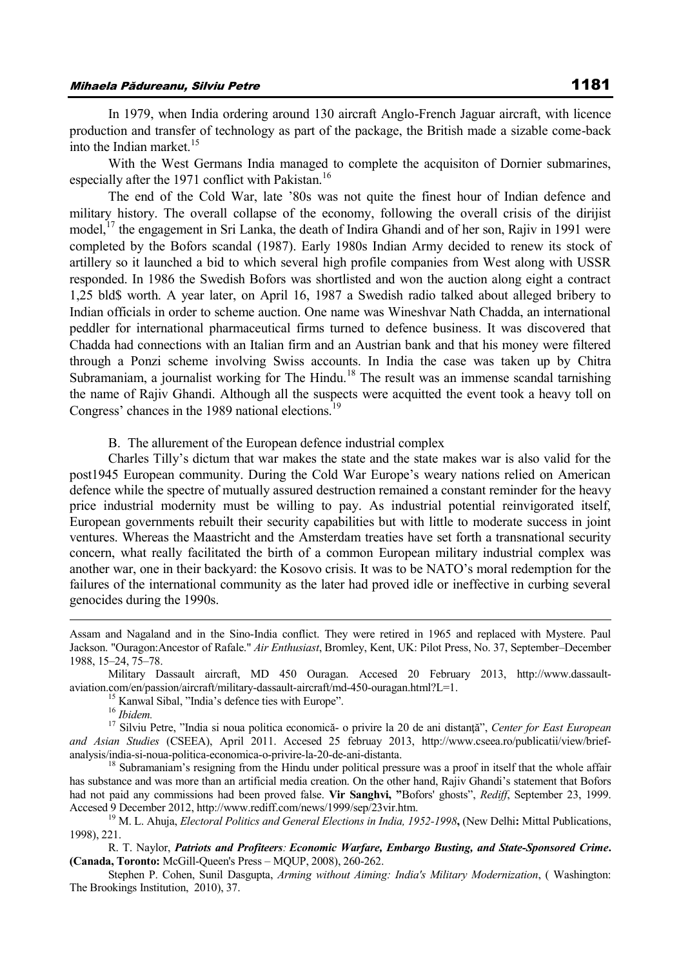In 1979, when India ordering around 130 aircraft Anglo-French Jaguar aircraft, with licence production and transfer of technology as part of the package, the British made a sizable come-back into the Indian market.<sup>15</sup>

With the West Germans India managed to complete the acquisiton of Dornier submarines, especially after the 1971 conflict with Pakistan.<sup>16</sup>

The end of the Cold War, late '80s was not quite the finest hour of Indian defence and military history. The overall collapse of the economy, following the overall crisis of the dirijist model,<sup>17</sup> the engagement in Sri Lanka, the death of Indira Ghandi and of her son, Rajiv in 1991 were completed by the Bofors scandal (1987). Early 1980s Indian Army decided to renew its stock of artillery so it launched a bid to which several high profile companies from West along with USSR responded. In 1986 the Swedish Bofors was shortlisted and won the auction along eight a contract 1,25 bld\$ worth. A year later, on April 16, 1987 a Swedish radio talked about alleged bribery to Indian officials in order to scheme auction. One name was Wineshvar Nath Chadda, an international peddler for international pharmaceutical firms turned to defence business. It was discovered that Chadda had connections with an Italian firm and an Austrian bank and that his money were filtered through a Ponzi scheme involving Swiss accounts. In India the case was taken up by Chitra Subramaniam, a journalist working for The Hindu.<sup>18</sup> The result was an immense scandal tarnishing the name of Rajiv Ghandi. Although all the suspects were acquitted the event took a heavy toll on Congress' chances in the 1989 national elections.<sup>19</sup>

B. The allurement of the European defence industrial complex

Charles Tilly's dictum that war makes the state and the state makes war is also valid for the post1945 European community. During the Cold War Europe's weary nations relied on American defence while the spectre of mutually assured destruction remained a constant reminder for the heavy price industrial modernity must be willing to pay. As industrial potential reinvigorated itself, European governments rebuilt their security capabilities but with little to moderate success in joint ventures. Whereas the Maastricht and the Amsterdam treaties have set forth a transnational security concern, what really facilitated the birth of a common European military industrial complex was another war, one in their backyard: the Kosovo crisis. It was to be NATO's moral redemption for the failures of the international community as the later had proved idle or ineffective in curbing several genocides during the 1990s.

Assam and Nagaland and in the Sino-India conflict. They were retired in 1965 and replaced with Mystere. Paul Jackson. "Ouragon:Ancestor of Rafale." *Air Enthusiast*, Bromley, Kent, UK: Pilot Press, No. 37, September–December 1988, 15–24, 75–78.

Military Dassault aircraft, MD 450 Ouragan. Accesed 20 February 2013, http://www.dassaultaviation.com/en/passion/aircraft/military-dassault-aircraft/md-450-ouragan.html?L=1.

<sup>&</sup>lt;sup>15</sup> Kanwal Sibal, "India's defence ties with Europe".

<sup>16</sup> *Ibidem.*

<sup>17</sup> Silviu Petre, "India si noua politica economică- o privire la 20 de ani distanţă", *Center for East European and Asian Studies* (CSEEA), April 2011. Accesed 25 februay 2013, http://www.cseea.ro/publicatii/view/briefanalysis/india-si-noua-politica-economica-o-privire-la-20-de-ani-distanta.

<sup>&</sup>lt;sup>18</sup> Subramaniam's resigning from the Hindu under political pressure was a proof in itself that the whole affair has substance and was more than an artificial media creation. On the other hand, Rajiv Ghandi's statement that Bofors had not paid any commissions had been proved false. **Vir Sanghvi, "**Bofors' ghosts", *Rediff*, September 23, 1999. Accesed 9 December 2012, http://www.rediff.com/news/1999/sep/23vir.htm.

<sup>19</sup> M. L. Ahuja, *Electoral Politics and General Elections in India, 1952-1998***,** (New Delhi**:** Mittal Publications, 1998), 221.

R. T. Naylor, *Patriots and Profiteers: Economic Warfare, Embargo Busting, and State-Sponsored Crime***. (Canada, Toronto:** McGill-Queen's Press – MQUP, 2008), 260-262.

Stephen P. Cohen, Sunil Dasgupta, *Arming without Aiming: India's Military Modernization*, ( Washington: The Brookings Institution, 2010), 37.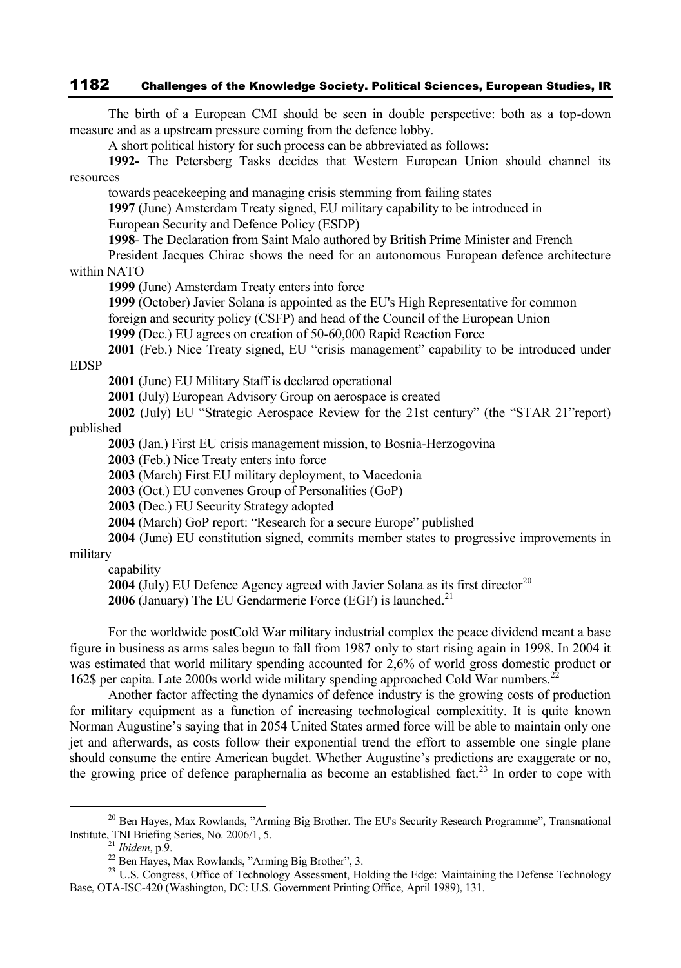The birth of a European CMI should be seen in double perspective: both as a top-down measure and as a upstream pressure coming from the defence lobby.

A short political history for such process can be abbreviated as follows:

**1992-** The Petersberg Tasks decides that Western European Union should channel its resources

towards peacekeeping and managing crisis stemming from failing states

**1997** (June) Amsterdam Treaty signed, EU military capability to be introduced in European Security and Defence Policy (ESDP)

**1998**- The Declaration from Saint Malo authored by British Prime Minister and French

President Jacques Chirac shows the need for an autonomous European defence architecture within NATO

**1999** (June) Amsterdam Treaty enters into force

**1999** (October) Javier Solana is appointed as the EU's High Representative for common foreign and security policy (CSFP) and head of the Council of the European Union

**1999** (Dec.) EU agrees on creation of 50-60,000 Rapid Reaction Force

**2001** (Feb.) Nice Treaty signed, EU "crisis management" capability to be introduced under EDSP

**2001** (June) EU Military Staff is declared operational

**2001** (July) European Advisory Group on aerospace is created

**2002** (July) EU "Strategic Aerospace Review for the 21st century" (the "STAR 21"report) published

**2003** (Jan.) First EU crisis management mission, to Bosnia-Herzogovina

**2003** (Feb.) Nice Treaty enters into force

**2003** (March) First EU military deployment, to Macedonia

**2003** (Oct.) EU convenes Group of Personalities (GoP)

**2003** (Dec.) EU Security Strategy adopted

**2004** (March) GoP report: "Research for a secure Europe" published

**2004** (June) EU constitution signed, commits member states to progressive improvements in military

capability

**2004** (July) EU Defence Agency agreed with Javier Solana as its first director<sup>20</sup>

**2006** (January) The EU Gendarmerie Force (EGF) is launched.<sup>21</sup>

For the worldwide postCold War military industrial complex the peace dividend meant a base figure in business as arms sales begun to fall from 1987 only to start rising again in 1998. In 2004 it was estimated that world military spending accounted for 2,6% of world gross domestic product or 162\$ per capita. Late 2000s world wide military spending approached Cold War numbers.<sup>22</sup>

Another factor affecting the dynamics of defence industry is the growing costs of production for military equipment as a function of increasing technological complexitity. It is quite known Norman Augustine's saying that in 2054 United States armed force will be able to maintain only one jet and afterwards, as costs follow their exponential trend the effort to assemble one single plane should consume the entire American bugdet. Whether Augustine's predictions are exaggerate or no, the growing price of defence paraphernalia as become an established fact.<sup>23</sup> In order to cope with

<sup>&</sup>lt;sup>20</sup> Ben Hayes, Max Rowlands, "Arming Big Brother. The EU's Security Research Programme", Transnational Institute, TNI Briefing Series, No. 2006/1, 5.

<sup>21</sup> *Ibidem*, p.9.

 $^{22}$  Ben Hayes, Max Rowlands, "Arming Big Brother", 3.

<sup>&</sup>lt;sup>23</sup> U.S. Congress, Office of Technology Assessment, Holding the Edge: Maintaining the Defense Technology Base, OTA-ISC-420 (Washington, DC: U.S. Government Printing Office, April 1989), 131.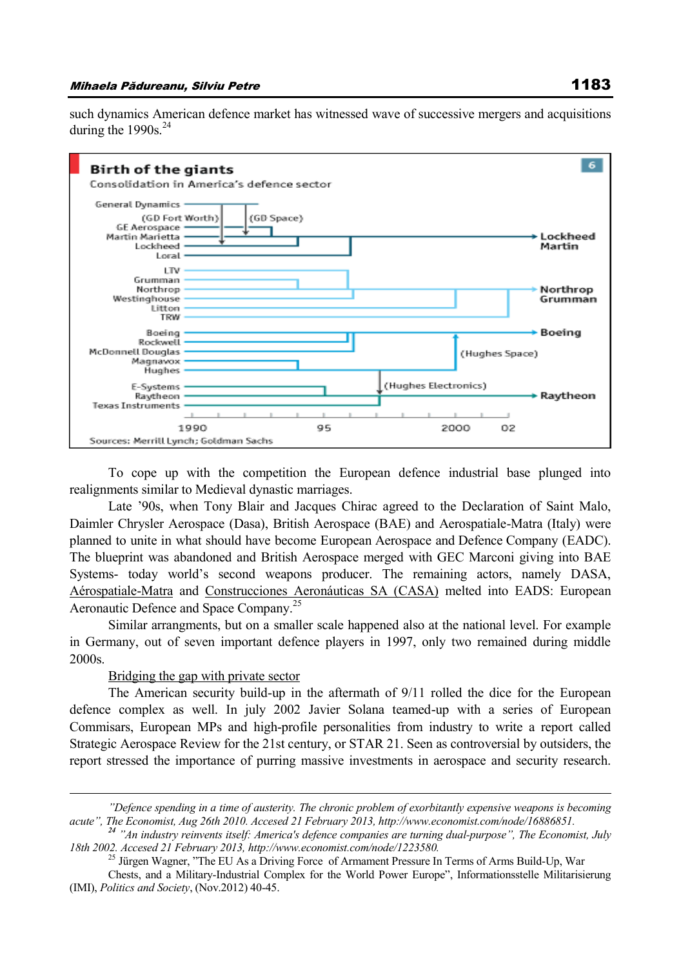such dynamics American defence market has witnessed wave of successive mergers and acquisitions during the  $1990s.<sup>24</sup>$ 



To cope up with the competition the European defence industrial base plunged into realignments similar to Medieval dynastic marriages.

Late '90s, when Tony Blair and Jacques Chirac agreed to the Declaration of Saint Malo, Daimler Chrysler Aerospace (Dasa), British Aerospace (BAE) and Aerospatiale-Matra (Italy) were planned to unite in what should have become European Aerospace and Defence Company (EADC). The blueprint was abandoned and British Aerospace merged with GEC Marconi giving into BAE Systems- today world's second weapons producer. The remaining actors, namely DASA, Aérospatiale-Matra and Construcciones Aeronáuticas SA (CASA) melted into EADS: European Aeronautic Defence and Space Company.<sup>25</sup>

Similar arrangments, but on a smaller scale happened also at the national level. For example in Germany, out of seven important defence players in 1997, only two remained during middle 2000s.

## Bridging the gap with private sector

 $\overline{a}$ 

The American security build-up in the aftermath of 9/11 rolled the dice for the European defence complex as well. In july 2002 Javier Solana teamed-up with a series of European Commisars, European MPs and high-profile personalities from industry to write a report called Strategic Aerospace Review for the 21st century, or STAR 21. Seen as controversial by outsiders, the report stressed the importance of purring massive investments in aerospace and security research.

*<sup>&</sup>quot;Defence spending in a time of austerity. The chronic problem of exorbitantly expensive weapons is becoming acute", The Economist, Aug 26th 2010. Accesed 21 February 2013, http://www.economist.com/node/16886851.*

*<sup>24</sup> "An industry reinvents itself: America's defence companies are turning dual-purpose", The Economist, July 18th 2002. Accesed 21 February 2013, http://www.economist.com/node/1223580.*

<sup>&</sup>lt;sup>25</sup> Jürgen Wagner, "The EU As a Driving Force of Armament Pressure In Terms of Arms Build-Up, War

Chests, and a Military-Industrial Complex for the World Power Europe", Informationsstelle Militarisierung (IMI), *Politics and Society*, (Nov.2012) 40-45.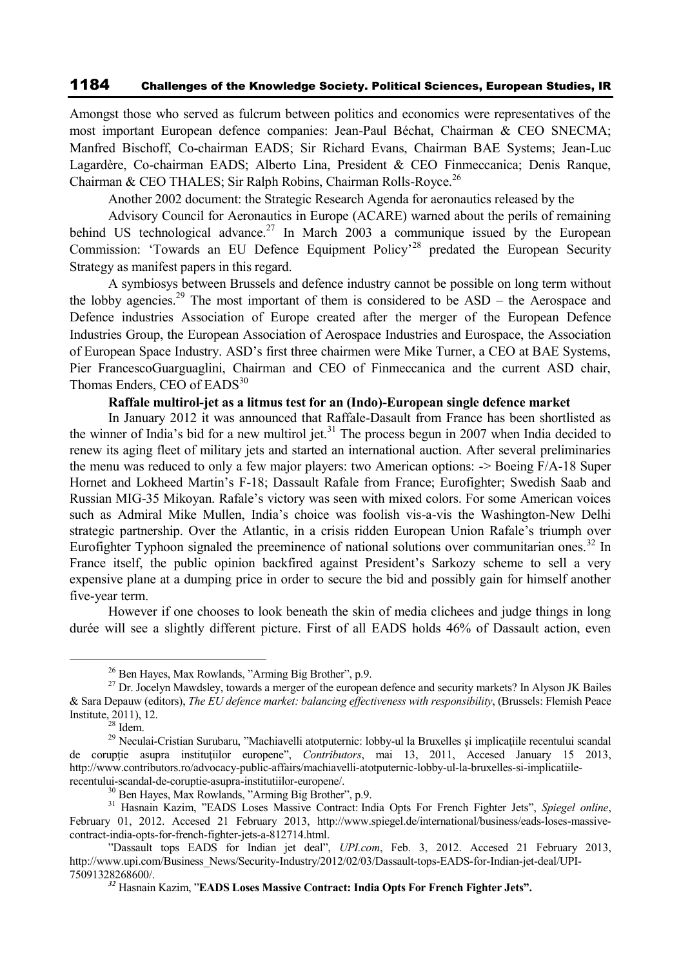Amongst those who served as fulcrum between politics and economics were representatives of the most important European defence companies: Jean-Paul Béchat, Chairman & CEO SNECMA; Manfred Bischoff, Co-chairman EADS; Sir Richard Evans, Chairman BAE Systems; Jean-Luc Lagardère, Co-chairman EADS; Alberto Lina, President & CEO Finmeccanica; Denis Ranque, Chairman & CEO THALES; Sir Ralph Robins, Chairman Rolls-Royce.<sup>26</sup>

Another 2002 document: the Strategic Research Agenda for aeronautics released by the

Advisory Council for Aeronautics in Europe (ACARE) warned about the perils of remaining behind US technological advance.<sup>27</sup> In March 2003 a communique issued by the European Commission: 'Towards an EU Defence Equipment Policy'<sup>28</sup> predated the European Security Strategy as manifest papers in this regard.

A symbiosys between Brussels and defence industry cannot be possible on long term without the lobby agencies.<sup>29</sup> The most important of them is considered to be ASD – the Aerospace and Defence industries Association of Europe created after the merger of the European Defence Industries Group, the European Association of Aerospace Industries and Eurospace, the Association of European Space Industry. ASD's first three chairmen were Mike Turner, a CEO at BAE Systems, Pier FrancescoGuarguaglini, Chairman and CEO of Finmeccanica and the current ASD chair, Thomas Enders, CEO of EADS<sup>30</sup>

## **Raffale multirol-jet as a litmus test for an (Indo)-European single defence market**

In January 2012 it was announced that Raffale-Dasault from France has been shortlisted as the winner of India's bid for a new multirol jet.<sup>31</sup> The process begun in 2007 when India decided to renew its aging fleet of military jets and started an international auction. After several preliminaries the menu was reduced to only a few major players: two American options: -> Boeing F/A-18 Super Hornet and Lokheed Martin's F-18; Dassault Rafale from France; Eurofighter; Swedish Saab and Russian MIG-35 Mikoyan. Rafale's victory was seen with mixed colors. For some American voices such as Admiral Mike Mullen, India's choice was foolish vis-a-vis the Washington-New Delhi strategic partnership. Over the Atlantic, in a crisis ridden European Union Rafale's triumph over Eurofighter Typhoon signaled the preeminence of national solutions over communitarian ones.<sup>32</sup> In France itself, the public opinion backfired against President's Sarkozy scheme to sell a very expensive plane at a dumping price in order to secure the bid and possibly gain for himself another five-year term.

However if one chooses to look beneath the skin of media clichees and judge things in long durée will see a slightly different picture. First of all EADS holds 46% of Dassault action, even

<sup>26</sup> Ben Hayes, Max Rowlands, "Arming Big Brother", p.9.

<sup>&</sup>lt;sup>27</sup> Dr. Jocelyn Mawdsley, towards a merger of the european defence and security markets? In Alyson JK Bailes & Sara Depauw (editors), *The EU defence market: balancing effectiveness with responsibility*, (Brussels: Flemish Peace Institute, 2011), 12.

 $28$  Idem.

<sup>&</sup>lt;sup>29</sup> Neculai-Cristian Surubaru, "Machiavelli atotputernic: lobby-ul la Bruxelles și implicațiile recentului scandal de corupţie asupra instituţiilor europene", *Contributors*, mai 13, 2011, Accesed January 15 2013, http://www.contributors.ro/advocacy-public-affairs/machiavelli-atotputernic-lobby-ul-la-bruxelles-si-implicatiilerecentului-scandal-de-coruptie-asupra-institutiilor-europene/.

<sup>30</sup> Ben Hayes, Max Rowlands, "Arming Big Brother", p.9.

<sup>31</sup> Hasnain Kazim, "EADS Loses Massive Contract: India Opts For French Fighter Jets", *Spiegel online*, February 01, 2012. Accesed 21 February 2013, http://www.spiegel.de/international/business/eads-loses-massivecontract-india-opts-for-french-fighter-jets-a-812714.html.

<sup>&</sup>quot;Dassault tops EADS for Indian jet deal", *UPI.com*, Feb. 3, 2012. Accesed 21 February 2013, http://www.upi.com/Business\_News/Security-Industry/2012/02/03/Dassault-tops-EADS-for-Indian-jet-deal/UPI-75091328268600/.

*<sup>32</sup>* Hasnain Kazim, "**EADS Loses Massive Contract: India Opts For French Fighter Jets".**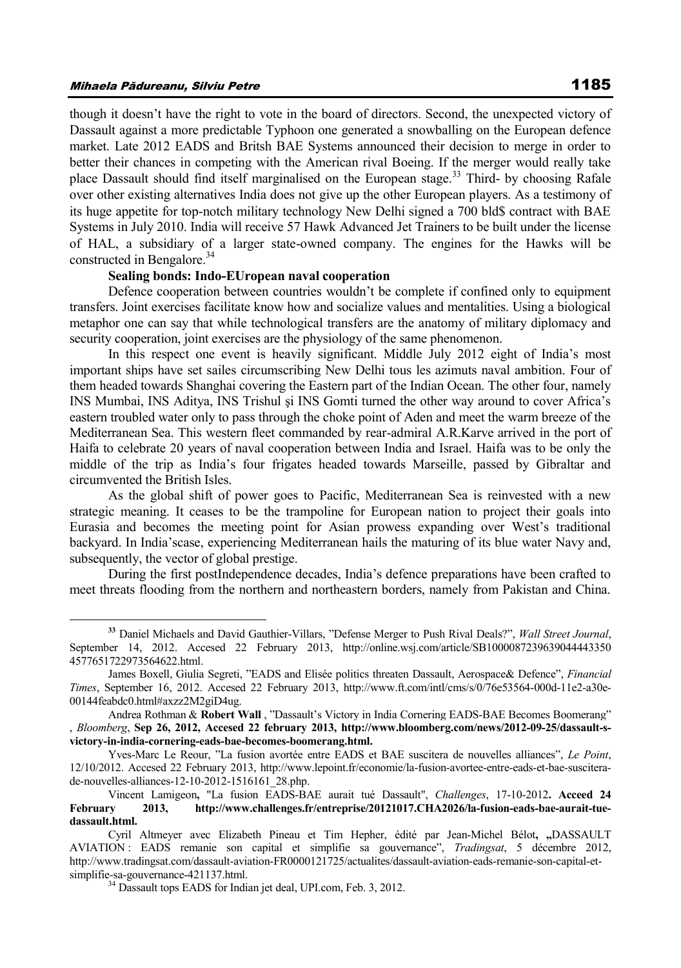## Mihaela Pădureanu, Silviu Petre 1185

 $\overline{a}$ 

though it doesn't have the right to vote in the board of directors. Second, the unexpected victory of Dassault against a more predictable Typhoon one generated a snowballing on the European defence market. Late 2012 EADS and Britsh BAE Systems announced their decision to merge in order to better their chances in competing with the American rival Boeing. If the merger would really take place Dassault should find itself marginalised on the European stage.<sup>33</sup> Third- by choosing Rafale over other existing alternatives India does not give up the other European players. As a testimony of its huge appetite for top-notch military technology New Delhi signed a 700 bld\$ contract with BAE Systems in July 2010. India will receive 57 Hawk Advanced Jet Trainers to be built under the license of HAL, a subsidiary of a larger state-owned company. The engines for the Hawks will be constructed in Bengalore.<sup>34</sup>

## **Sealing bonds: Indo-EUropean naval cooperation**

Defence cooperation between countries wouldn't be complete if confined only to equipment transfers. Joint exercises facilitate know how and socialize values and mentalities. Using a biological metaphor one can say that while technological transfers are the anatomy of military diplomacy and security cooperation, joint exercises are the physiology of the same phenomenon.

In this respect one event is heavily significant. Middle July 2012 eight of India's most important ships have set sailes circumscribing New Delhi tous les azimuts naval ambition. Four of them headed towards Shanghai covering the Eastern part of the Indian Ocean. The other four, namely INS Mumbai, INS Aditya, INS Trishul şi INS Gomti turned the other way around to cover Africa's eastern troubled water only to pass through the choke point of Aden and meet the warm breeze of the Mediterranean Sea. This western fleet commanded by rear-admiral A.R.Karve arrived in the port of Haifa to celebrate 20 years of naval cooperation between India and Israel. Haifa was to be only the middle of the trip as India's four frigates headed towards Marseille, passed by Gibraltar and circumvented the British Isles.

As the global shift of power goes to Pacific, Mediterranean Sea is reinvested with a new strategic meaning. It ceases to be the trampoline for European nation to project their goals into Eurasia and becomes the meeting point for Asian prowess expanding over West's traditional backyard. In India'scase, experiencing Mediterranean hails the maturing of its blue water Navy and, subsequently, the vector of global prestige.

During the first postIndependence decades, India's defence preparations have been crafted to meet threats flooding from the northern and northeastern borders, namely from Pakistan and China.

**<sup>33</sup>** Daniel Michaels and David Gauthier-Villars, "Defense Merger to Push Rival Deals?", *Wall Street Journal*, September 14, 2012. Accesed 22 February 2013, http://online.wsj.com/article/SB1000087239639044443350 4577651722973564622.html.

James Boxell, Giulia Segreti, "EADS and Elisée politics threaten Dassault, Aerospace& Defence", *Financial Times*, September 16, 2012. Accesed 22 February 2013, http://www.ft.com/intl/cms/s/0/76e53564-000d-11e2-a30e-00144feabdc0.html#axzz2M2giD4ug.

Andrea Rothman & **Robert Wall** , "Dassault's Victory in India Cornering EADS-BAE Becomes Boomerang" , *Bloomberg*, **Sep 26, 2012, Accesed 22 february 2013, http://www.bloomberg.com/news/2012-09-25/dassault-svictory-in-india-cornering-eads-bae-becomes-boomerang.html.**

Yves-Marc Le Reour, "La fusion avortée entre EADS et BAE suscitera de nouvelles alliances", *Le Point*, 12/10/2012. Accesed 22 February 2013, http://www.lepoint.fr/economie/la-fusion-avortee-entre-eads-et-bae-susciterade-nouvelles-alliances-12-10-2012-1516161\_28.php.

Vincent Lamigeon**,** "La fusion EADS-BAE aurait tué Dassault", *Challenges*, 17-10-2012**. Acceed 24 February 2013, http://www.challenges.fr/entreprise/20121017.CHA2026/la-fusion-eads-bae-aurait-tuedassault.html.**

Cyril Altmeyer avec Elizabeth Pineau et Tim Hepher, édité par Jean-Michel Bélot**, "**DASSAULT AVIATION : EADS remanie son capital et simplifie sa gouvernance", *Tradingsat*, 5 décembre 2012, http://www.tradingsat.com/dassault-aviation-FR0000121725/actualites/dassault-aviation-eads-remanie-son-capital-etsimplifie-sa-gouvernance-421137.html.

<sup>&</sup>lt;sup>34</sup> Dassault tops EADS for Indian jet deal, UPI.com, Feb. 3, 2012.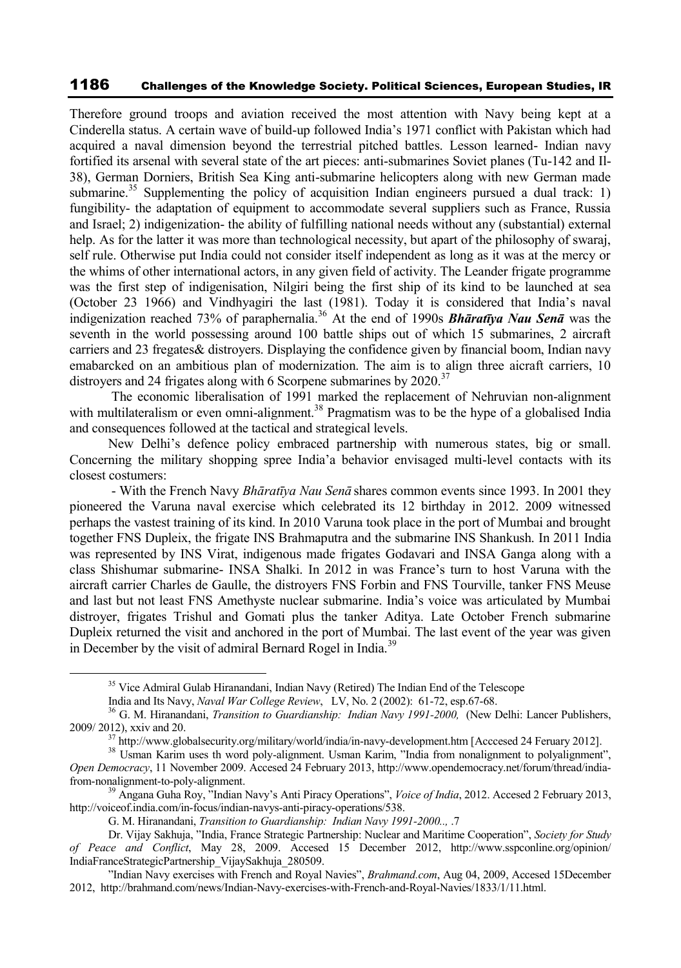Therefore ground troops and aviation received the most attention with Navy being kept at a Cinderella status. A certain wave of build-up followed India's 1971 conflict with Pakistan which had acquired a naval dimension beyond the terrestrial pitched battles. Lesson learned- Indian navy fortified its arsenal with several state of the art pieces: anti-submarines Soviet planes (Tu-142 and Il-38), German Dorniers, British Sea King anti-submarine helicopters along with new German made submarine.<sup>35</sup> Supplementing the policy of acquisition Indian engineers pursued a dual track: 1) fungibility- the adaptation of equipment to accommodate several suppliers such as France, Russia and Israel; 2) indigenization- the ability of fulfilling national needs without any (substantial) external help. As for the latter it was more than technological necessity, but apart of the philosophy of swaraj, self rule. Otherwise put India could not consider itself independent as long as it was at the mercy or the whims of other international actors, in any given field of activity. The Leander frigate programme was the first step of indigenisation, Nilgiri being the first ship of its kind to be launched at sea (October 23 1966) and Vindhyagiri the last (1981). Today it is considered that India's naval indigenization reached 73% of paraphernalia.<sup>36</sup> At the end of 1990s **Bhāratīya Nau Senā** was the seventh in the world possessing around 100 battle ships out of which 15 submarines, 2 aircraft carriers and 23 fregates& distroyers. Displaying the confidence given by financial boom, Indian navy emabarcked on an ambitious plan of modernization. The aim is to align three aicraft carriers, 10 distroyers and 24 frigates along with 6 Scorpene submarines by  $2020$ .<sup>37</sup>

The economic liberalisation of 1991 marked the replacement of Nehruvian non-alignment with multilateralism or even omni-alignment.<sup>38</sup> Pragmatism was to be the hype of a globalised India and consequences followed at the tactical and strategical levels.

New Delhi's defence policy embraced partnership with numerous states, big or small. Concerning the military shopping spree India'a behavior envisaged multi-level contacts with its closest costumers:

- With the French Navy *Bhāratīya Nau Senā* shares common events since 1993. In 2001 they pioneered the Varuna naval exercise which celebrated its 12 birthday in 2012. 2009 witnessed perhaps the vastest training of its kind. In 2010 Varuna took place in the port of Mumbai and brought together FNS Dupleix, the frigate INS Brahmaputra and the submarine INS Shankush. In 2011 India was represented by INS Virat, indigenous made frigates Godavari and INSA Ganga along with a class Shishumar submarine- INSA Shalki. In 2012 in was France's turn to host Varuna with the aircraft carrier Charles de Gaulle, the distroyers FNS Forbin and FNS Tourville, tanker FNS Meuse and last but not least FNS Amethyste nuclear submarine. India's voice was articulated by Mumbai distroyer, frigates Trishul and Gomati plus the tanker Aditya. Late October French submarine Dupleix returned the visit and anchored in the port of Mumbai. The last event of the year was given in December by the visit of admiral Bernard Rogel in India.<sup>39</sup>

<sup>&</sup>lt;sup>35</sup> Vice Admiral Gulab Hiranandani, Indian Navy (Retired) The Indian End of the Telescope

India and Its Navy, *Naval War College Review*, LV, No. 2 (2002): 61-72, esp.67-68.

<sup>36</sup> G. M. Hiranandani, *Transition to Guardianship: Indian Navy 1991-2000,* (New Delhi: Lancer Publishers, 2009/ 2012), xxiv and 20.

<sup>&</sup>lt;sup>37</sup> http://www.globalsecurity.org/military/world/india/in-navy-development.htm [Acccesed 24 Feruary 2012].

<sup>&</sup>lt;sup>38</sup> Usman Karim uses th word poly-alignment. Usman Karim, "India from nonalignment to polyalignment", *Open Democracy*, 11 November 2009. Accesed 24 February 2013, http://www.opendemocracy.net/forum/thread/indiafrom-nonalignment-to-poly-alignment.

<sup>39</sup> Angana Guha Roy, "Indian Navy's Anti Piracy Operations", *Voice of India*, 2012. Accesed 2 February 2013, http://voiceof.india.com/in-focus/indian-navys-anti-piracy-operations/538.

G. M. Hiranandani, *Transition to Guardianship: Indian Navy 1991-2000..,* .7

Dr. Vijay Sakhuja, "India, France Strategic Partnership: Nuclear and Maritime Cooperation", *Society for Study of Peace and Conflict*, May 28, 2009. Accesed 15 December 2012, http://www.sspconline.org/opinion/ IndiaFranceStrategicPartnership\_VijaySakhuja\_280509.

<sup>&</sup>quot;Indian Navy exercises with French and Royal Navies", *Brahmand.com*, Aug 04, 2009, Accesed 15December 2012, http://brahmand.com/news/Indian-Navy-exercises-with-French-and-Royal-Navies/1833/1/11.html.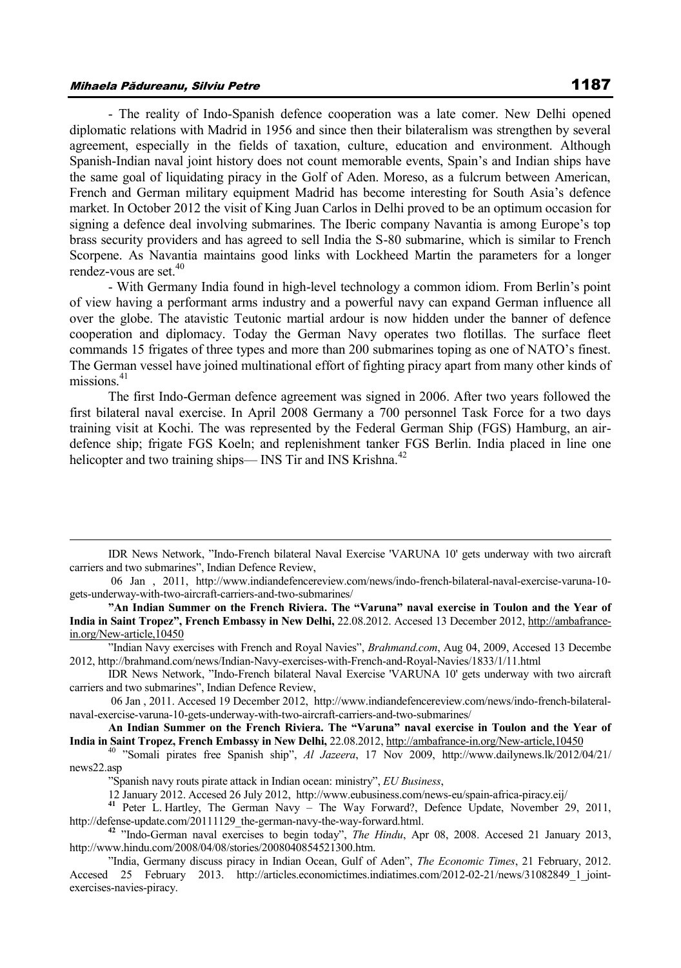## Mihaela Pădureanu, Silviu Petre 1187

 $\overline{a}$ 

- The reality of Indo-Spanish defence cooperation was a late comer. New Delhi opened diplomatic relations with Madrid in 1956 and since then their bilateralism was strengthen by several agreement, especially in the fields of taxation, culture, education and environment. Although Spanish-Indian naval joint history does not count memorable events, Spain's and Indian ships have the same goal of liquidating piracy in the Golf of Aden. Moreso, as a fulcrum between American, French and German military equipment Madrid has become interesting for South Asia's defence market. In October 2012 the visit of King Juan Carlos in Delhi proved to be an optimum occasion for signing a defence deal involving submarines. The Iberic company Navantia is among Europe's top brass security providers and has agreed to sell India the S-80 submarine, which is similar to French Scorpene. As Navantia maintains good links with Lockheed Martin the parameters for a longer rendez-vous are set.<sup>40</sup>

- With Germany India found in high-level technology a common idiom. From Berlin's point of view having a performant arms industry and a powerful navy can expand German influence all over the globe. The atavistic Teutonic martial ardour is now hidden under the banner of defence cooperation and diplomacy. Today the German Navy operates two flotillas. The surface fleet commands 15 frigates of three types and more than 200 submarines toping as one of NATO's finest. The German vessel have joined multinational effort of fighting piracy apart from many other kinds of missions $41$ 

The first Indo-German defence agreement was signed in 2006. After two years followed the first bilateral naval exercise. In April 2008 Germany a 700 personnel Task Force for a two days training visit at Kochi. The was represented by the Federal German Ship (FGS) Hamburg, an airdefence ship; frigate FGS Koeln; and replenishment tanker FGS Berlin. India placed in line one helicopter and two training ships—  $\text{INS}$  Tir and  $\text{INS}$  Krishna.<sup>42</sup>

IDR News Network, "Indo-French bilateral Naval Exercise 'VARUNA 10' gets underway with two aircraft carriers and two submarines", Indian Defence Review,

<sup>06</sup> Jan , 2011, http://www.indiandefencereview.com/news/indo-french-bilateral-naval-exercise-varuna-10 gets-underway-with-two-aircraft-carriers-and-two-submarines/

**<sup>&</sup>quot;An Indian Summer on the French Riviera. The "Varuna" naval exercise in Toulon and the Year of India in Saint Tropez", French Embassy in New Delhi,** 22.08.2012. Accesed 13 December 2012, http://ambafrancein.org/New-article,10450

<sup>&</sup>quot;Indian Navy exercises with French and Royal Navies", *Brahmand.com*, Aug 04, 2009, Accesed 13 Decembe 2012, http://brahmand.com/news/Indian-Navy-exercises-with-French-and-Royal-Navies/1833/1/11.html

IDR News Network, "Indo-French bilateral Naval Exercise 'VARUNA 10' gets underway with two aircraft carriers and two submarines", Indian Defence Review,

<sup>06</sup> Jan , 2011. Accesed 19 December 2012, http://www.indiandefencereview.com/news/indo-french-bilateralnaval-exercise-varuna-10-gets-underway-with-two-aircraft-carriers-and-two-submarines/

**An Indian Summer on the French Riviera. The "Varuna" naval exercise in Toulon and the Year of India in Saint Tropez, French Embassy in New Delhi,** 22.08.2012, http://ambafrance-in.org/New-article,10450

<sup>40</sup> "Somali pirates free Spanish ship", *Al Jazeera*, 17 Nov 2009, http://www.dailynews.lk/2012/04/21/ news22.asp

<sup>&</sup>quot;Spanish navy routs pirate attack in Indian ocean: ministry", *EU Business*,

<sup>12</sup> January 2012. Accesed 26 July 2012, http://www.eubusiness.com/news-eu/spain-africa-piracy.eij/

**<sup>41</sup>** Peter L. Hartley, The German Navy – The Way Forward?, Defence Update, November 29, 2011, http://defense-update.com/20111129\_the-german-navy-the-way-forward.html.

**<sup>42</sup>** "Indo-German naval exercises to begin today", *The Hindu*, Apr 08, 2008. Accesed 21 January 2013, http://www.hindu.com/2008/04/08/stories/2008040854521300.htm.

<sup>&</sup>quot;India, Germany discuss piracy in Indian Ocean, Gulf of Aden", *The Economic Times*, 21 February, 2012. Accesed 25 February 2013. http://articles.economictimes.indiatimes.com/2012-02-21/news/31082849 1 jointexercises-navies-piracy.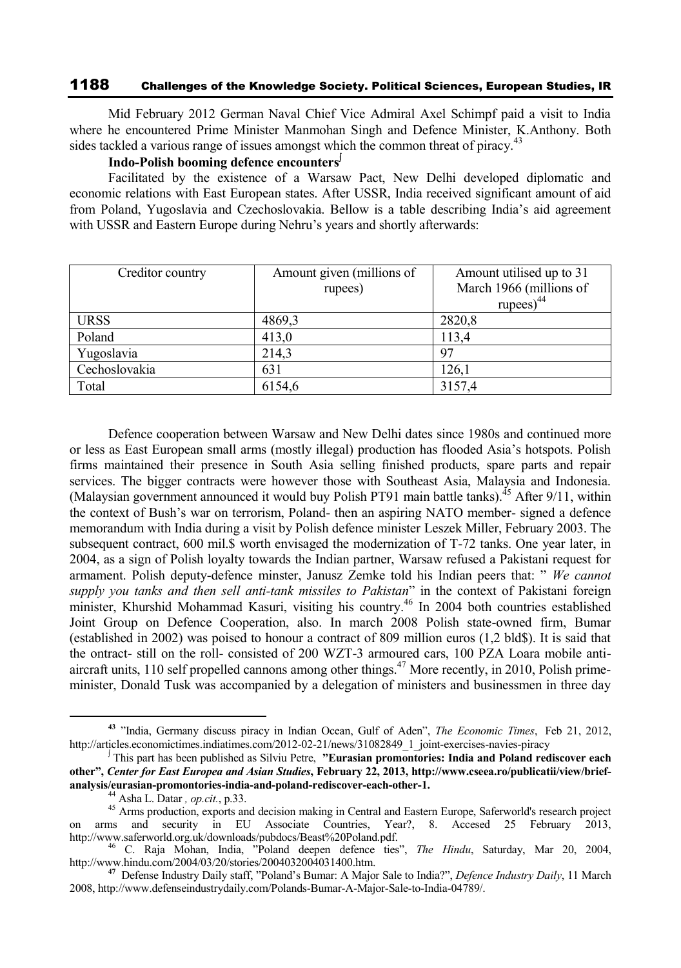Mid February 2012 German Naval Chief Vice Admiral Axel Schimpf paid a visit to India where he encountered Prime Minister Manmohan Singh and Defence Minister, K.Anthony. Both sides tackled a various range of issues amongst which the common threat of piracy.<sup>43</sup>

### **Indo-Polish booming defence encounters**

Facilitated by the existence of a Warsaw Pact, New Delhi developed diplomatic and economic relations with East European states. After USSR, India received significant amount of aid from Poland, Yugoslavia and Czechoslovakia. Bellow is a table describing India's aid agreement with USSR and Eastern Europe during Nehru's years and shortly afterwards:

| Creditor country | Amount given (millions of | Amount utilised up to 31 |
|------------------|---------------------------|--------------------------|
|                  | rupees)                   | March 1966 (millions of  |
|                  |                           | rupees $)^{44}$          |
| <b>URSS</b>      | 4869,3                    | 2820,8                   |
| Poland           | 413,0                     | 113,4                    |
| Yugoslavia       | 214,3                     | 97                       |
| Cechoslovakia    | 631                       | 126,1                    |
| Total            | 6154,6                    | 3157,4                   |

Defence cooperation between Warsaw and New Delhi dates since 1980s and continued more or less as East European small arms (mostly illegal) production has flooded Asia's hotspots. Polish firms maintained their presence in South Asia selling finished products, spare parts and repair services. The bigger contracts were however those with Southeast Asia, Malaysia and Indonesia. (Malaysian government announced it would buy Polish PT91 main battle tanks).<sup>45</sup> After  $9/11$ , within the context of Bush's war on terrorism, Poland- then an aspiring NATO member- signed a defence memorandum with India during a visit by Polish defence minister Leszek Miller, February 2003. The subsequent contract, 600 mil. \$ worth envisaged the modernization of T-72 tanks. One year later, in 2004, as a sign of Polish loyalty towards the Indian partner, Warsaw refused a Pakistani request for armament. Polish deputy-defence minster, Janusz Zemke told his Indian peers that: " *We cannot supply you tanks and then sell anti-tank missiles to Pakistan*" in the context of Pakistani foreign minister, Khurshid Mohammad Kasuri, visiting his country.<sup>46</sup> In 2004 both countries established Joint Group on Defence Cooperation, also. In march 2008 Polish state-owned firm, Bumar (established in 2002) was poised to honour a contract of 809 million euros (1,2 bld\$). It is said that the ontract- still on the roll- consisted of 200 WZT-3 armoured cars, 100 PZA Loara mobile antiaircraft units, 110 self propelled cannons among other things.<sup>47</sup> More recently, in 2010, Polish primeminister, Donald Tusk was accompanied by a delegation of ministers and businessmen in three day

**<sup>43</sup>** "India, Germany discuss piracy in Indian Ocean, Gulf of Aden", *The Economic Times*, Feb 21, 2012, http://articles.economictimes.indiatimes.com/2012-02-21/news/31082849\_1\_joint-exercises-navies-piracy

This part has been published as Silviu Petre, **"Eurasian promontories: India and Poland rediscover each other",** *Center for East Europea and Asian Studies***, February 22, 2013, http://www.cseea.ro/publicatii/view/briefanalysis/eurasian-promontories-india-and-poland-rediscover-each-other-1.**

<sup>44</sup> Asha L. Datar *, op.cit.*, p.33.

<sup>&</sup>lt;sup>45</sup> Arms production, exports and decision making in Central and Eastern Europe, Saferworld's research project on arms and security in EU Associate Countries, Year?, 8. Accesed 25 February 2013, http://www.saferworld.org.uk/downloads/pubdocs/Beast%20Poland.pdf.

<sup>46</sup> C. Raja Mohan, India, "Poland deepen defence ties", *The Hindu*, Saturday, Mar 20, 2004, http://www.hindu.com/2004/03/20/stories/2004032004031400.htm.

**<sup>47</sup>** Defense Industry Daily staff, "Poland's Bumar: A Major Sale to India?", *Defence Industry Daily*, 11 March 2008, http://www.defenseindustrydaily.com/Polands-Bumar-A-Major-Sale-to-India-04789/.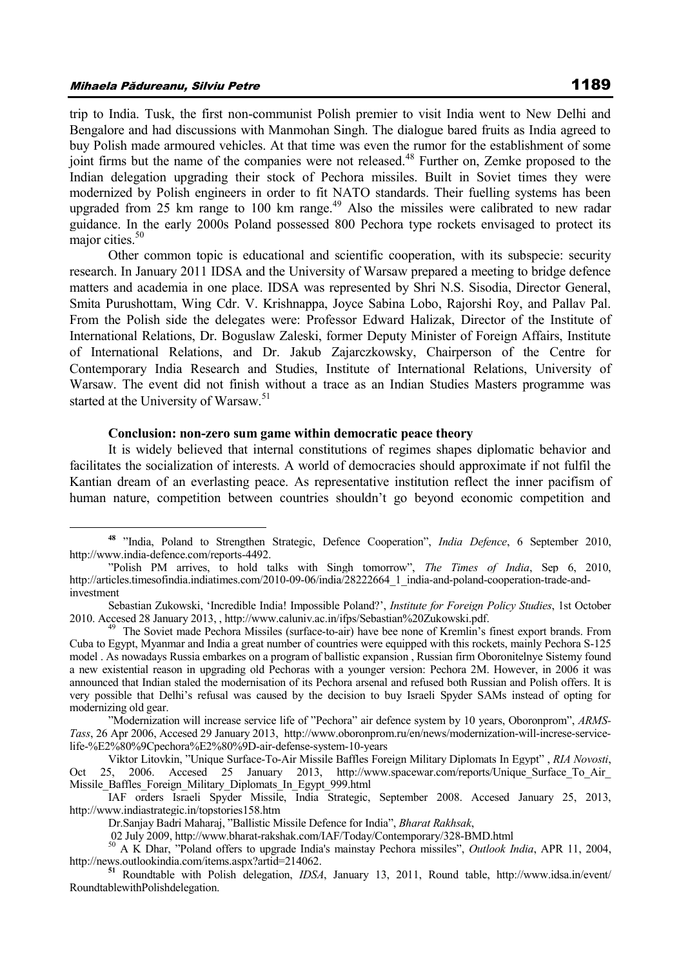$\overline{a}$ 

trip to India. Tusk, the first non-communist Polish premier to visit India went to New Delhi and Bengalore and had discussions with Manmohan Singh. The dialogue bared fruits as India agreed to buy Polish made armoured vehicles. At that time was even the rumor for the establishment of some joint firms but the name of the companies were not released.<sup>48</sup> Further on, Zemke proposed to the Indian delegation upgrading their stock of Pechora missiles. Built in Soviet times they were modernized by Polish engineers in order to fit NATO standards. Their fuelling systems has been upgraded from 25 km range to 100 km range.<sup>49</sup> Also the missiles were calibrated to new radar guidance. In the early 2000s Poland possessed 800 Pechora type rockets envisaged to protect its major cities.<sup>50</sup>

Other common topic is educational and scientific cooperation, with its subspecie: security research. In January 2011 IDSA and the University of Warsaw prepared a meeting to bridge defence matters and academia in one place. IDSA was represented by Shri N.S. Sisodia, Director General, Smita Purushottam, Wing Cdr. V. Krishnappa, Joyce Sabina Lobo, Rajorshi Roy, and Pallav Pal. From the Polish side the delegates were: Professor Edward Halizak, Director of the Institute of International Relations, Dr. Boguslaw Zaleski, former Deputy Minister of Foreign Affairs, Institute of International Relations, and Dr. Jakub Zajarczkowsky, Chairperson of the Centre for Contemporary India Research and Studies, Institute of International Relations, University of Warsaw. The event did not finish without a trace as an Indian Studies Masters programme was started at the University of Warsaw.<sup>51</sup>

#### **Conclusion: non-zero sum game within democratic peace theory**

It is widely believed that internal constitutions of regimes shapes diplomatic behavior and facilitates the socialization of interests. A world of democracies should approximate if not fulfil the Kantian dream of an everlasting peace. As representative institution reflect the inner pacifism of human nature, competition between countries shouldn't go beyond economic competition and

**<sup>48</sup>** "India, Poland to Strengthen Strategic, Defence Cooperation", *India Defence*, 6 September 2010, http://www.india-defence.com/reports-4492.

<sup>&</sup>quot;Polish PM arrives, to hold talks with Singh tomorrow", *The Times of India*, Sep 6, 2010, http://articles.timesofindia.indiatimes.com/2010-09-06/india/28222664\_1\_india-and-poland-cooperation-trade-andinvestment

Sebastian Zukowski, 'Incredible India! Impossible Poland?', *Institute for Foreign Policy Studies*, 1st October 2010. Accesed 28 January 2013, , http://www.caluniv.ac.in/ifps/Sebastian%20Zukowski.pdf.

<sup>49</sup> The Soviet made Pechora Missiles (surface-to-air) have bee none of Kremlin's finest export brands. From Cuba to Egypt, Myanmar and India a great number of countries were equipped with this rockets, mainly Pechora S-125 model . As nowadays Russia embarkes on a program of ballistic expansion , Russian firm Oboronitelnye Sistemy found a new existential reason in upgrading old Pechoras with a younger version: Pechora 2M. However, in 2006 it was announced that Indian staled the modernisation of its Pechora arsenal and refused both Russian and Polish offers. It is very possible that Delhi's refusal was caused by the decision to buy Israeli Spyder SAMs instead of opting for modernizing old gear.

<sup>&</sup>quot;Modernization will increase service life of "Pechora" air defence system by 10 years, Oboronprom", *ARMS-Tass*, 26 Apr 2006, Accesed 29 January 2013, http://www.oboronprom.ru/en/news/modernization-will-increse-servicelife-%E2%80%9Cpechora%E2%80%9D-air-defense-system-10-years

Viktor Litovkin, "Unique Surface-To-Air Missile Baffles Foreign Military Diplomats In Egypt" , *RIA Novosti*, Oct 25, 2006. Accesed 25 January 2013, http://www.spacewar.com/reports/Unique\_Surface\_To\_Air\_ Missile\_Baffles\_Foreign\_Military\_Diplomats\_In\_Egypt\_999.html

IAF orders Israeli Spyder Missile, India Strategic, September 2008. Accesed January 25, 2013, http://www.indiastrategic.in/topstories158.htm

Dr.Sanjay Badri Maharaj, "Ballistic Missile Defence for India", *Bharat Rakhsak*,

<sup>02</sup> July 2009, http://www.bharat-rakshak.com/IAF/Today/Contemporary/328-BMD.html

<sup>50</sup> A K Dhar, "Poland offers to upgrade India's mainstay Pechora missiles", *Outlook India*, APR 11, 2004, http://news.outlookindia.com/items.aspx?artid=214062.

**<sup>51</sup>** Roundtable with Polish delegation, *IDSA*, January 13, 2011, Round table, http://www.idsa.in/event/ RoundtablewithPolishdelegation.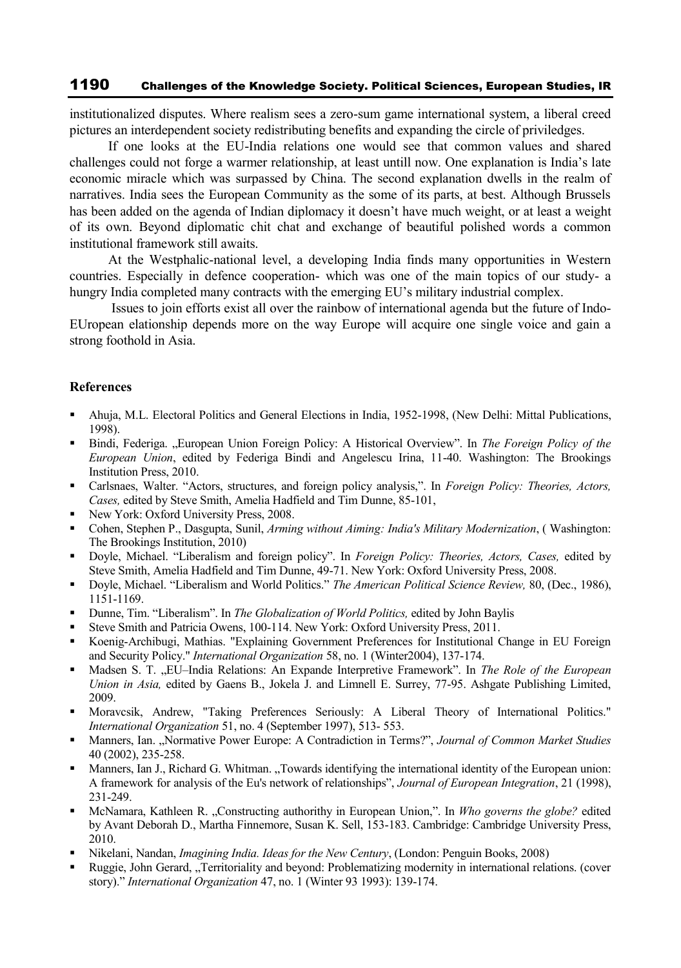institutionalized disputes. Where realism sees a zero-sum game international system, a liberal creed pictures an interdependent society redistributing benefits and expanding the circle of priviledges.

If one looks at the EU-India relations one would see that common values and shared challenges could not forge a warmer relationship, at least untill now. One explanation is India's late economic miracle which was surpassed by China. The second explanation dwells in the realm of narratives. India sees the European Community as the some of its parts, at best. Although Brussels has been added on the agenda of Indian diplomacy it doesn't have much weight, or at least a weight of its own. Beyond diplomatic chit chat and exchange of beautiful polished words a common institutional framework still awaits.

At the Westphalic-national level, a developing India finds many opportunities in Western countries. Especially in defence cooperation- which was one of the main topics of our study- a hungry India completed many contracts with the emerging EU's military industrial complex.

Issues to join efforts exist all over the rainbow of international agenda but the future of Indo-EUropean elationship depends more on the way Europe will acquire one single voice and gain a strong foothold in Asia.

### **References**

- Ahuja, M.L. Electoral Politics and General Elections in India, 1952-1998, (New Delhi: Mittal Publications, 1998).
- Bindi, Federiga. "European Union Foreign Policy: A Historical Overview". In *The Foreign Policy of the European Union*, edited by Federiga Bindi and Angelescu Irina, 11-40. Washington: The Brookings Institution Press, 2010.
- Carlsnaes, Walter. "Actors, structures, and foreign policy analysis,". In *Foreign Policy: Theories, Actors, Cases,* edited by Steve Smith, Amelia Hadfield and Tim Dunne, 85-101,
- New York: Oxford University Press, 2008.
- Cohen, Stephen P., Dasgupta, Sunil, *Arming without Aiming: India's Military Modernization*, ( Washington: The Brookings Institution, 2010)
- Doyle, Michael. "Liberalism and foreign policy". In *Foreign Policy: Theories, Actors, Cases,* edited by Steve Smith, Amelia Hadfield and Tim Dunne, 49-71. New York: Oxford University Press, 2008.
- Doyle, Michael. "Liberalism and World Politics." *The American Political Science Review,* 80, (Dec., 1986), 1151-1169.
- Dunne, Tim. "Liberalism". In *The Globalization of World Politics,* edited by John Baylis
- Steve Smith and Patricia Owens, 100-114. New York: Oxford University Press, 2011.
- Koenig-Archibugi, Mathias. "Explaining Government Preferences for Institutional Change in EU Foreign and Security Policy." *International Organization* 58, no. 1 (Winter2004), 137-174.
- Madsen S. T. "EU–India Relations: An Expande Interpretive Framework". In *The Role of the European Union in Asia,* edited by Gaens B., Jokela J. and Limnell E. Surrey, 77-95. Ashgate Publishing Limited, 2009.
- **Moravcsik, Andrew, "Taking Preferences Seriously: A Liberal Theory of International Politics."** *International Organization* 51, no. 4 (September 1997), 513- 553.
- Manners, Ian. "Normative Power Europe: A Contradiction in Terms?", *Journal of Common Market Studies* 40 (2002), 235-258.
- Manners, Ian J., Richard G. Whitman. "Towards identifying the international identity of the European union: A framework for analysis of the Eu's network of relationships", *Journal of European Integration*, 21 (1998), 231-249.
- McNamara, Kathleen R. "Constructing authorithy in European Union,". In *Who governs the globe?* edited by Avant Deborah D., Martha Finnemore, Susan K. Sell, 153-183. Cambridge: Cambridge University Press, 2010.
- Nikelani, Nandan, *Imagining India. Ideas for the New Century*, (London: Penguin Books, 2008)
- Ruggie, John Gerard, "Territoriality and beyond: Problematizing modernity in international relations. (cover story)." *International Organization* 47, no. 1 (Winter 93 1993): 139-174.